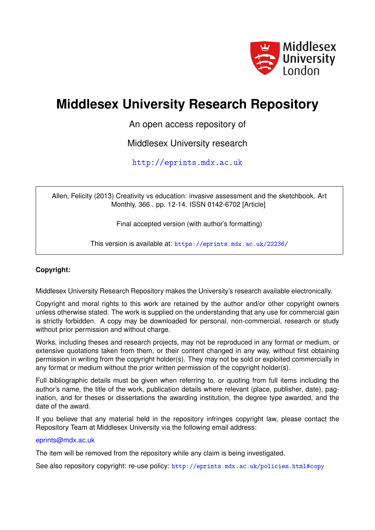

# **Middlesex University Research Repository**

An open access repository of

Middlesex University research

<http://eprints.mdx.ac.uk>

Allen, Felicity (2013) Creativity vs education: invasive assessment and the sketchbook. Art Monthly, 366 . pp. 12-14. ISSN 0142-6702 [Article]

Final accepted version (with author's formatting)

This version is available at: <https://eprints.mdx.ac.uk/22236/>

# **Copyright:**

Middlesex University Research Repository makes the University's research available electronically.

Copyright and moral rights to this work are retained by the author and/or other copyright owners unless otherwise stated. The work is supplied on the understanding that any use for commercial gain is strictly forbidden. A copy may be downloaded for personal, non-commercial, research or study without prior permission and without charge.

Works, including theses and research projects, may not be reproduced in any format or medium, or extensive quotations taken from them, or their content changed in any way, without first obtaining permission in writing from the copyright holder(s). They may not be sold or exploited commercially in any format or medium without the prior written permission of the copyright holder(s).

Full bibliographic details must be given when referring to, or quoting from full items including the author's name, the title of the work, publication details where relevant (place, publisher, date), pagination, and for theses or dissertations the awarding institution, the degree type awarded, and the date of the award.

If you believe that any material held in the repository infringes copyright law, please contact the Repository Team at Middlesex University via the following email address:

# [eprints@mdx.ac.uk](mailto:eprints@mdx.ac.uk)

The item will be removed from the repository while any claim is being investigated.

See also repository copyright: re-use policy: <http://eprints.mdx.ac.uk/policies.html#copy>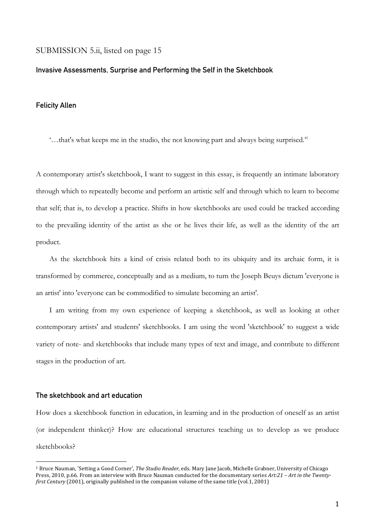# SUBMISSION 5.ii, listed on page 15

#### **Invasive Assessments, Surprise and Performing the Self in the Sketchbook**

#### **Felicity Allen**

'…that's what keeps me in the studio, the not knowing part and always being surprised.'1

A contemporary artist's sketchbook, I want to suggest in this essay, is frequently an intimate laboratory through which to repeatedly become and perform an artistic self and through which to learn to become that self; that is, to develop a practice. Shifts in how sketchbooks are used could be tracked according to the prevailing identity of the artist as she or he lives their life, as well as the identity of the art product.

As the sketchbook hits a kind of crisis related both to its ubiquity and its archaic form, it is transformed by commerce, conceptually and as a medium, to turn the Joseph Beuys dictum 'everyone is an artist' into 'everyone can be commodified to simulate becoming an artist'.

I am writing from my own experience of keeping a sketchbook, as well as looking at other contemporary artists' and students' sketchbooks. I am using the word 'sketchbook' to suggest a wide variety of note- and sketchbooks that include many types of text and image, and contribute to different stages in the production of art.

#### **The sketchbook and art education**

 

How does a sketchbook function in education, in learning and in the production of oneself as an artist (or independent thinker)? How are educational structures teaching us to develop as we produce sketchbooks?

<sup>&</sup>lt;sup>1</sup> Bruce Nauman, 'Setting a Good Corner', *The Studio Reader*, eds. Mary Jane Jacob, Michelle Grabner, University of Chicago Press, 2010, p.66. From an interview with Bruce Nauman conducted for the documentary series Art:21 – Art in the Twenty*first Century* (2001), originally published in the companion volume of the same title (vol.1, 2001)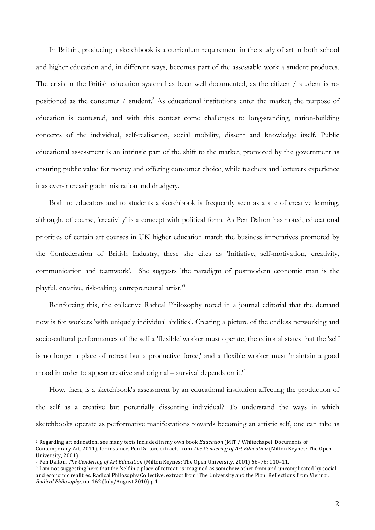In Britain, producing a sketchbook is a curriculum requirement in the study of art in both school and higher education and, in different ways, becomes part of the assessable work a student produces. The crisis in the British education system has been well documented, as the citizen / student is repositioned as the consumer / student.<sup>2</sup> As educational institutions enter the market, the purpose of education is contested, and with this contest come challenges to long-standing, nation-building concepts of the individual, self-realisation, social mobility, dissent and knowledge itself. Public educational assessment is an intrinsic part of the shift to the market, promoted by the government as ensuring public value for money and offering consumer choice, while teachers and lecturers experience it as ever-increasing administration and drudgery.

Both to educators and to students a sketchbook is frequently seen as a site of creative learning, although, of course, 'creativity' is a concept with political form. As Pen Dalton has noted, educational priorities of certain art courses in UK higher education match the business imperatives promoted by the Confederation of British Industry; these she cites as 'Initiative, self-motivation, creativity, communication and teamwork'. She suggests 'the paradigm of postmodern economic man is the playful, creative, risk-taking, entrepreneurial artist.'3

Reinforcing this, the collective Radical Philosophy noted in a journal editorial that the demand now is for workers 'with uniquely individual abilities'. Creating a picture of the endless networking and socio-cultural performances of the self a 'flexible' worker must operate, the editorial states that the 'self is no longer a place of retreat but a productive force,' and a flexible worker must 'maintain a good mood in order to appear creative and original – survival depends on it.'4

How, then, is a sketchbook's assessment by an educational institution affecting the production of the self as a creative but potentially dissenting individual? To understand the ways in which sketchbooks operate as performative manifestations towards becoming an artistic self, one can take as

<sup>&</sup>lt;sup>2</sup> Regarding art education, see many texts included in my own book *Education* (MIT / Whitechapel, Documents of Contemporary Art, 2011), for instance, Pen Dalton, extracts from *The Gendering of Art Education* (Milton Keynes: The Open University, 2001).

<sup>&</sup>lt;sup>3</sup> Pen Dalton, *The Gendering of Art Education* (Milton Keynes: The Open University, 2001) 66-76; 110-11.

<sup>&</sup>lt;sup>4</sup> I am not suggesting here that the 'self in a place of retreat' is imagined as somehow other from and uncomplicated by social and economic realities. Radical Philosophy Collective, extract from 'The University and the Plan: Reflections from Vienna', *Radical Philosophy*, no. 162 (July/August 2010) p.1.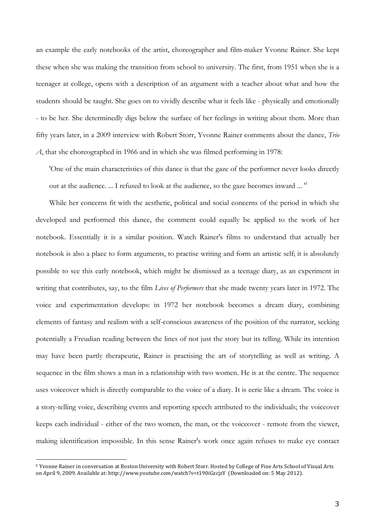an example the early notebooks of the artist, choreographer and film-maker Yvonne Rainer. She kept these when she was making the transition from school to university. The first, from 1951 when she is a teenager at college, opens with a description of an argument with a teacher about what and how the students should be taught. She goes on to vividly describe what it feels like - physically and emotionally - to be her. She determinedly digs below the surface of her feelings in writing about them. More than fifty years later, in a 2009 interview with Robert Storr, Yvonne Rainer comments about the dance, *Trio A*, that she choreographed in 1966 and in which she was filmed performing in 1978:

'One of the main characteristics of this dance is that the gaze of the performer never looks directly out at the audience. ... I refused to look at the audience, so the gaze becomes inward ... '5

While her concerns fit with the aesthetic, political and social concerns of the period in which she developed and performed this dance, the comment could equally be applied to the work of her notebook. Essentially it is a similar position. Watch Rainer's films to understand that actually her notebook is also a place to form arguments, to practise writing and form an artistic self; it is absolutely possible to see this early notebook, which might be dismissed as a teenage diary, as an experiment in writing that contributes, say, to the film *Lives of Performers* that she made twenty years later in 1972. The voice and experimentation develops: in 1972 her notebook becomes a dream diary, combining elements of fantasy and realism with a self-conscious awareness of the position of the narrator, seeking potentially a Freudian reading between the lines of not just the story but its telling. While its intention may have been partly therapeutic, Rainer is practising the art of storytelling as well as writing. A sequence in the film shows a man in a relationship with two women. He is at the centre. The sequence uses voiceover which is directly comparable to the voice of a diary. It is eerie like a dream. The voice is a story-telling voice, describing events and reporting speech attributed to the individuals; the voiceover keeps each individual - either of the two women, the man, or the voiceover - remote from the viewer, making identification impossible. In this sense Rainer's work once again refuses to make eye contact

<sup>&</sup>lt;sup>5</sup> Yvonne Rainer in conversation at Boston University with Robert Storr. Hosted by College of Fine Arts School of Visual Arts on April 9, 2009. Available at: http://www.youtube.com/watch?v=t190iGzcjzY (Downloaded on: 5 May 2012).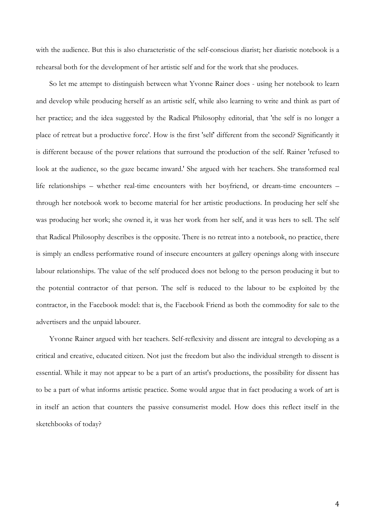with the audience. But this is also characteristic of the self-conscious diarist; her diaristic notebook is a rehearsal both for the development of her artistic self and for the work that she produces.

So let me attempt to distinguish between what Yvonne Rainer does - using her notebook to learn and develop while producing herself as an artistic self, while also learning to write and think as part of her practice; and the idea suggested by the Radical Philosophy editorial, that 'the self is no longer a place of retreat but a productive force'. How is the first 'self' different from the second? Significantly it is different because of the power relations that surround the production of the self. Rainer 'refused to look at the audience, so the gaze became inward.' She argued with her teachers. She transformed real life relationships – whether real-time encounters with her boyfriend, or dream-time encounters – through her notebook work to become material for her artistic productions. In producing her self she was producing her work; she owned it, it was her work from her self, and it was hers to sell. The self that Radical Philosophy describes is the opposite. There is no retreat into a notebook, no practice, there is simply an endless performative round of insecure encounters at gallery openings along with insecure labour relationships. The value of the self produced does not belong to the person producing it but to the potential contractor of that person. The self is reduced to the labour to be exploited by the contractor, in the Facebook model: that is, the Facebook Friend as both the commodity for sale to the advertisers and the unpaid labourer.

Yvonne Rainer argued with her teachers. Self-reflexivity and dissent are integral to developing as a critical and creative, educated citizen. Not just the freedom but also the individual strength to dissent is essential. While it may not appear to be a part of an artist's productions, the possibility for dissent has to be a part of what informs artistic practice. Some would argue that in fact producing a work of art is in itself an action that counters the passive consumerist model. How does this reflect itself in the sketchbooks of today?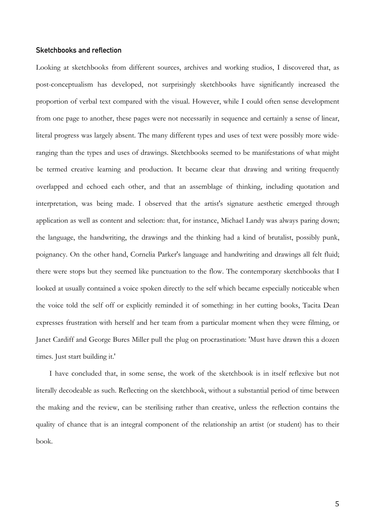## **Sketchbooks and reflection**

Looking at sketchbooks from different sources, archives and working studios, I discovered that, as post-conceptualism has developed, not surprisingly sketchbooks have significantly increased the proportion of verbal text compared with the visual. However, while I could often sense development from one page to another, these pages were not necessarily in sequence and certainly a sense of linear, literal progress was largely absent. The many different types and uses of text were possibly more wideranging than the types and uses of drawings. Sketchbooks seemed to be manifestations of what might be termed creative learning and production. It became clear that drawing and writing frequently overlapped and echoed each other, and that an assemblage of thinking, including quotation and interpretation, was being made. I observed that the artist's signature aesthetic emerged through application as well as content and selection: that, for instance, Michael Landy was always paring down; the language, the handwriting, the drawings and the thinking had a kind of brutalist, possibly punk, poignancy. On the other hand, Cornelia Parker's language and handwriting and drawings all felt fluid; there were stops but they seemed like punctuation to the flow. The contemporary sketchbooks that I looked at usually contained a voice spoken directly to the self which became especially noticeable when the voice told the self off or explicitly reminded it of something: in her cutting books, Tacita Dean expresses frustration with herself and her team from a particular moment when they were filming, or Janet Cardiff and George Bures Miller pull the plug on procrastination: 'Must have drawn this a dozen times. Just start building it.'

I have concluded that, in some sense, the work of the sketchbook is in itself reflexive but not literally decodeable as such. Reflecting on the sketchbook, without a substantial period of time between the making and the review, can be sterilising rather than creative, unless the reflection contains the quality of chance that is an integral component of the relationship an artist (or student) has to their book.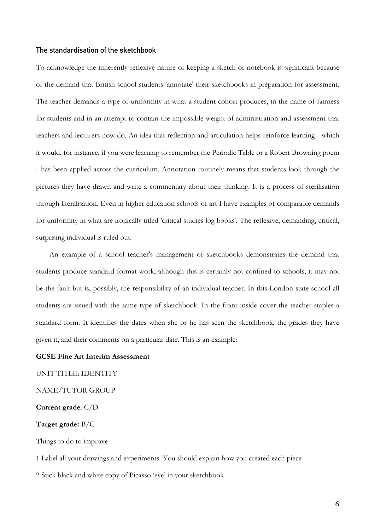# **The standardisation of the sketchbook**

To acknowledge the inherently reflexive nature of keeping a sketch or notebook is significant because of the demand that British school students 'annotate' their sketchbooks in preparation for assessment. The teacher demands a type of uniformity in what a student cohort produces, in the name of fairness for students and in an attempt to contain the impossible weight of administration and assessment that teachers and lecturers now do. An idea that reflection and articulation helps reinforce learning - which it would, for instance, if you were learning to remember the Periodic Table or a Robert Browning poem - has been applied across the curriculum. Annotation routinely means that students look through the pictures they have drawn and write a commentary about their thinking. It is a process of sterilisation through literalisation. Even in higher education schools of art I have examples of comparable demands for uniformity in what are ironically titled 'critical studies log books'. The reflexive, demanding, critical, surprising individual is ruled out.

An example of a school teacher's management of sketchbooks demonstrates the demand that students produce standard format work, although this is certainly not confined to schools; it may not be the fault but is, possibly, the responsibility of an individual teacher. In this London state school all students are issued with the same type of sketchbook. In the front inside cover the teacher staples a standard form. It identifies the dates when she or he has seen the sketchbook, the grades they have given it, and their comments on a particular date. This is an example:

# **GCSE Fine Art Interim Assessment**

UNIT TITLE: IDENTITY

# NAME/TUTOR GROUP

**Current grade**: C/D

# **Target grade:** B/C

Things to do to improve

1 Label all your drawings and experiments. You should explain how you created each piece

2 Stick black and white copy of Picasso 'eye' in your sketchbook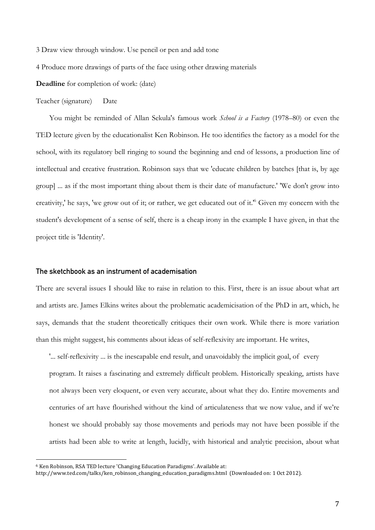3 Draw view through window. Use pencil or pen and add tone

4 Produce more drawings of parts of the face using other drawing materials

**Deadline** for completion of work: (date)

Teacher (signature) Date

You might be reminded of Allan Sekula's famous work *School is a Factory* (1978–80) or even the TED lecture given by the educationalist Ken Robinson. He too identifies the factory as a model for the school, with its regulatory bell ringing to sound the beginning and end of lessons, a production line of intellectual and creative frustration. Robinson says that we 'educate children by batches [that is, by age group] ... as if the most important thing about them is their date of manufacture.' 'We don't grow into creativity,' he says, 'we grow out of it; or rather, we get educated out of it.'6 Given my concern with the student's development of a sense of self, there is a cheap irony in the example I have given, in that the project title is 'Identity'.

#### **The sketchbook as an instrument of academisation**

There are several issues I should like to raise in relation to this. First, there is an issue about what art and artists are. James Elkins writes about the problematic academicisation of the PhD in art, which, he says, demands that the student theoretically critiques their own work. While there is more variation than this might suggest, his comments about ideas of self-reflexivity are important. He writes,

'... self-reflexivity ... is the inescapable end result, and unavoidably the implicit goal, of every program. It raises a fascinating and extremely difficult problem. Historically speaking, artists have not always been very eloquent, or even very accurate, about what they do. Entire movements and centuries of art have flourished without the kind of articulateness that we now value, and if we're honest we should probably say those movements and periods may not have been possible if the artists had been able to write at length, lucidly, with historical and analytic precision, about what

<sup>&</sup>lt;sup>6</sup> Ken Robinson, RSA TED lecture 'Changing Education Paradigms'. Available at:

http://www.ted.com/talks/ken\_robinson\_changing\_education\_paradigms.html (Downloaded on: 1 Oct 2012).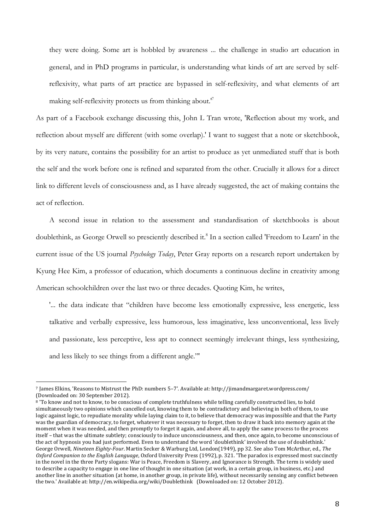they were doing. Some art is hobbled by awareness ... the challenge in studio art education in general, and in PhD programs in particular, is understanding what kinds of art are served by selfreflexivity, what parts of art practice are bypassed in self-reflexivity, and what elements of art making self-reflexivity protects us from thinking about.'7

As part of a Facebook exchange discussing this, John L Tran wrote, 'Reflection about my work, and reflection about myself are different (with some overlap).' I want to suggest that a note or sketchbook, by its very nature, contains the possibility for an artist to produce as yet unmediated stuff that is both the self and the work before one is refined and separated from the other. Crucially it allows for a direct link to different levels of consciousness and, as I have already suggested, the act of making contains the act of reflection.

A second issue in relation to the assessment and standardisation of sketchbooks is about doublethink, as George Orwell so presciently described it.<sup>8</sup> In a section called 'Freedom to Learn' in the current issue of the US journal *Psychology Today*, Peter Gray reports on a research report undertaken by Kyung Hee Kim, a professor of education, which documents a continuous decline in creativity among American schoolchildren over the last two or three decades. Quoting Kim, he writes,

'... the data indicate that "children have become less emotionally expressive, less energetic, less talkative and verbally expressive, less humorous, less imaginative, less unconventional, less lively and passionate, less perceptive, less apt to connect seemingly irrelevant things, less synthesizing, and less likely to see things from a different angle."'

<sup>7</sup> James Elkins, 'Reasons to Mistrust the PhD: numbers 5-7'. Available at: http://jimandmargaret.wordpress.com/ (Downloaded on: 30 September 2012).

<sup>8 &#</sup>x27;To know and not to know, to be conscious of complete truthfulness while telling carefully constructed lies, to hold simultaneously two opinions which cancelled out, knowing them to be contradictory and believing in both of them, to use logic against logic, to repudiate morality while laying claim to it, to believe that democracy was impossible and that the Party was the guardian of democracy, to forget, whatever it was necessary to forget, then to draw it back into memory again at the moment when it was needed, and then promptly to forget it again, and above all, to apply the same process to the process itself - that was the ultimate subtlety; consciously to induce unconsciousness, and then, once again, to become unconscious of the act of hypnosis you had just performed. Even to understand the word 'doublethink' involved the use of doublethink.' George Orwell, *Nineteen Eighty-Four*. Martin Secker & Warburg Ltd, London(1949), pp 32. See also Tom McArthur, ed., *The Oxford Companion to the English Language*, Oxford University Press (1992), p. 321. 'The paradox is expressed most succinctly in the novel in the three Party slogans: War is Peace, Freedom is Slavery, and Ignorance is Strength. The term is widely used to describe a capacity to engage in one line of thought in one situation (at work, in a certain group, in business, etc.) and another line in another situation (at home, in another group, in private life), without necessarily sensing any conflict between the two.' Available at: http://en.wikipedia.org/wiki/Doublethink (Downloaded on: 12 October 2012).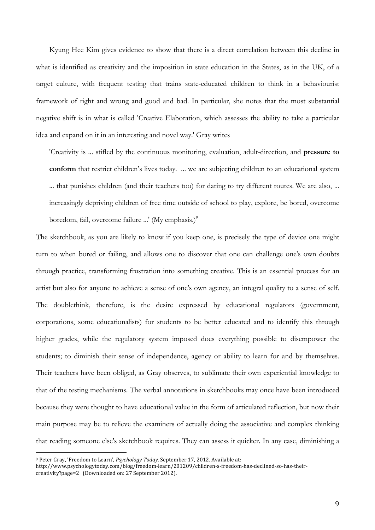Kyung Hee Kim gives evidence to show that there is a direct correlation between this decline in what is identified as creativity and the imposition in state education in the States, as in the UK, of a target culture, with frequent testing that trains state-educated children to think in a behaviourist framework of right and wrong and good and bad. In particular, she notes that the most substantial negative shift is in what is called 'Creative Elaboration, which assesses the ability to take a particular idea and expand on it in an interesting and novel way.' Gray writes

'Creativity is ... stifled by the continuous monitoring, evaluation, adult-direction, and **pressure to conform** that restrict children's lives today. ... we are subjecting children to an educational system ... that punishes children (and their teachers too) for daring to try different routes. We are also, ... increasingly depriving children of free time outside of school to play, explore, be bored, overcome boredom, fail, overcome failure ...' (My emphasis.)<sup>9</sup>

The sketchbook, as you are likely to know if you keep one, is precisely the type of device one might turn to when bored or failing, and allows one to discover that one can challenge one's own doubts through practice, transforming frustration into something creative. This is an essential process for an artist but also for anyone to achieve a sense of one's own agency, an integral quality to a sense of self. The doublethink, therefore, is the desire expressed by educational regulators (government, corporations, some educationalists) for students to be better educated and to identify this through higher grades, while the regulatory system imposed does everything possible to disempower the students; to diminish their sense of independence, agency or ability to learn for and by themselves. Their teachers have been obliged, as Gray observes, to sublimate their own experiential knowledge to that of the testing mechanisms. The verbal annotations in sketchbooks may once have been introduced because they were thought to have educational value in the form of articulated reflection, but now their main purpose may be to relieve the examiners of actually doing the associative and complex thinking that reading someone else's sketchbook requires. They can assess it quicker. In any case, diminishing a

<sup>&</sup>lt;sup>9</sup> Peter Gray, 'Freedom to Learn', *Psychology Today*, September 17, 2012. Available at:

http://www.psychologytoday.com/blog/freedom-learn/201209/children-s-freedom-has-declined-so-has-theircreativity?page=2 (Downloaded on: 27 September 2012).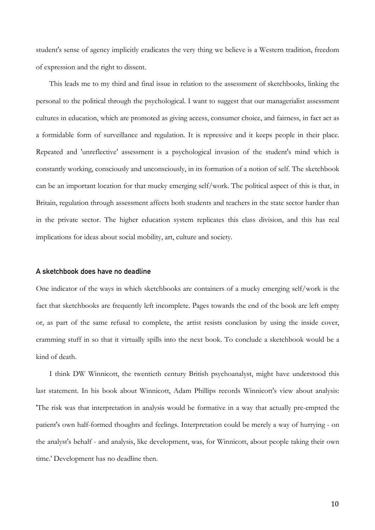student's sense of agency implicitly eradicates the very thing we believe is a Western tradition, freedom of expression and the right to dissent.

This leads me to my third and final issue in relation to the assessment of sketchbooks, linking the personal to the political through the psychological. I want to suggest that our managerialist assessment cultures in education, which are promoted as giving access, consumer choice, and fairness, in fact act as a formidable form of surveillance and regulation. It is repressive and it keeps people in their place. Repeated and 'unreflective' assessment is a psychological invasion of the student's mind which is constantly working, consciously and unconsciously, in its formation of a notion of self. The sketchbook can be an important location for that mucky emerging self/work. The political aspect of this is that, in Britain, regulation through assessment affects both students and teachers in the state sector harder than in the private sector. The higher education system replicates this class division, and this has real implications for ideas about social mobility, art, culture and society.

## **A sketchbook does have no deadline**

One indicator of the ways in which sketchbooks are containers of a mucky emerging self/work is the fact that sketchbooks are frequently left incomplete. Pages towards the end of the book are left empty or, as part of the same refusal to complete, the artist resists conclusion by using the inside cover, cramming stuff in so that it virtually spills into the next book. To conclude a sketchbook would be a kind of death.

I think DW Winnicott, the twentieth century British psychoanalyst, might have understood this last statement. In his book about Winnicott, Adam Phillips records Winnicott's view about analysis: 'The risk was that interpretation in analysis would be formative in a way that actually pre-empted the patient's own half-formed thoughts and feelings. Interpretation could be merely a way of hurrying - on the analyst's behalf - and analysis, like development, was, for Winnicott, about people taking their own time.' Development has no deadline then.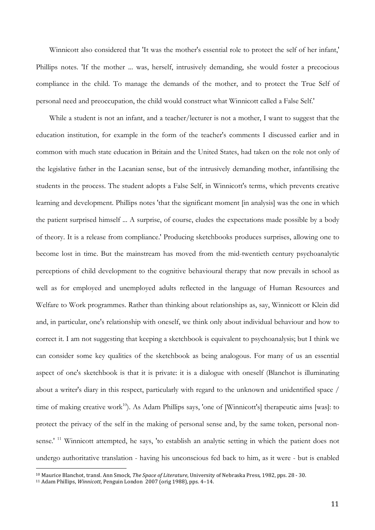Winnicott also considered that 'It was the mother's essential role to protect the self of her infant,' Phillips notes. 'If the mother ... was, herself, intrusively demanding, she would foster a precocious compliance in the child. To manage the demands of the mother, and to protect the True Self of personal need and preoccupation, the child would construct what Winnicott called a False Self.'

While a student is not an infant, and a teacher/lecturer is not a mother, I want to suggest that the education institution, for example in the form of the teacher's comments I discussed earlier and in common with much state education in Britain and the United States, had taken on the role not only of the legislative father in the Lacanian sense, but of the intrusively demanding mother, infantilising the students in the process. The student adopts a False Self, in Winnicott's terms, which prevents creative learning and development. Phillips notes 'that the significant moment [in analysis] was the one in which the patient surprised himself ... A surprise, of course, eludes the expectations made possible by a body of theory. It is a release from compliance.' Producing sketchbooks produces surprises, allowing one to become lost in time. But the mainstream has moved from the mid-twentieth century psychoanalytic perceptions of child development to the cognitive behavioural therapy that now prevails in school as well as for employed and unemployed adults reflected in the language of Human Resources and Welfare to Work programmes. Rather than thinking about relationships as, say, Winnicott or Klein did and, in particular, one's relationship with oneself, we think only about individual behaviour and how to correct it. I am not suggesting that keeping a sketchbook is equivalent to psychoanalysis; but I think we can consider some key qualities of the sketchbook as being analogous. For many of us an essential aspect of one's sketchbook is that it is private: it is a dialogue with oneself (Blanchot is illuminating about a writer's diary in this respect, particularly with regard to the unknown and unidentified space / time of making creative work<sup>10</sup>). As Adam Phillips says, 'one of [Winnicott's] therapeutic aims [was]: to protect the privacy of the self in the making of personal sense and, by the same token, personal nonsense.' <sup>11</sup> Winnicott attempted, he says, 'to establish an analytic setting in which the patient does not undergo authoritative translation - having his unconscious fed back to him, as it were - but is enabled

<sup>&</sup>lt;sup>10</sup> Maurice Blanchot, transl. Ann Smock, *The Space of Literature*, University of Nebraska Press, 1982, pps. 28 - 30.

<sup>&</sup>lt;sup>11</sup> Adam Phillips, *Winnicott*, Penguin London 2007 (orig 1988), pps. 4-14.